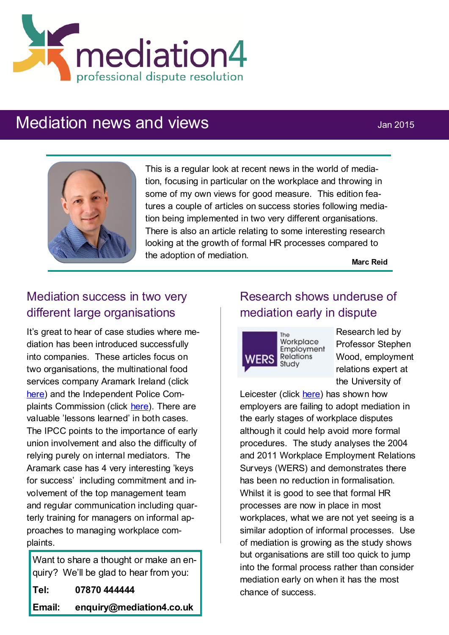

# Mediation news and views **Mediation**  $\frac{1}{2}$  Jan 2015



This is a regular look at recent news in the world of mediation, focusing in particular on the workplace and throwing in some of my own views for good measure. This edition features a couple of articles on success stories following mediation being implemented in two very different organisations. There is also an article relating to some interesting research looking at the growth of formal HR processes compared to the adoption of mediation.

**Marc Reid**

## Mediation success in two very different large organisations

It's great to hear of case studies where mediation has been introduced successfully into companies. These articles focus on two organisations, the multinational food services company Aramark Ireland (click [here\)](http://www.businessandleadership.com/leadership/item/48715-mediation-as-an-approach-to) and the Independent Police Complaints Commission (click [here\)](http://www.cipd.co.uk/pm/peoplemanagement/b/weblog/archive/2015/01/02/case-study-independent-police-complaints-commission.aspx). There are valuable 'lessons learned' in both cases. The IPCC points to the importance of early union involvement and also the difficulty of relying purely on internal mediators. The Aramark case has 4 very interesting 'keys for success' including commitment and involvement of the top management team and regular communication including quarterly training for managers on informal approaches to managing workplace complaints.

Want to share a thought or make an enquiry? We'll be glad to hear from you: **Tel: 07870 444444 Email: enquiry@mediation4.co.uk**

## Research shows underuse of mediation early in dispute

Workplace Employment **WERS** Relations Study

Research led by Professor Stephen Wood, employment relations expert at the University of

Leicester (click [here\)](http://www.cipd.co.uk/pm/peoplemanagement/b/weblog/archive/2014/11/20/mediation-under-used-in-early-stages-of-dispute-finds-research.aspx?utm_medium=email&utm_source=cipd&utm_campaign=pm_daily&utm_content=pm_daily_201114_850_658_20141121084203_Mediation%20) has shown how employers are failing to adopt mediation in the early stages of workplace disputes although it could help avoid more formal procedures. The study analyses the 2004 and 2011 Workplace Employment Relations Surveys (WERS) and demonstrates there has been no reduction in formalisation. Whilst it is good to see that formal HR processes are now in place in most workplaces, what we are not yet seeing is a similar adoption of informal processes. Use of mediation is growing as the study shows but organisations are still too quick to jump into the formal process rather than consider mediation early on when it has the most chance of success.